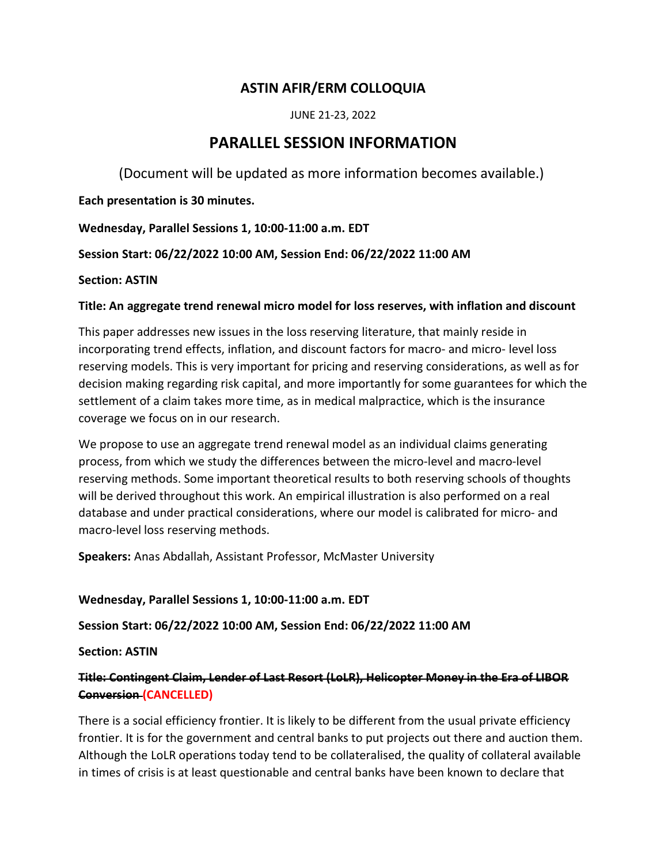# ASTIN AFIR/ERM COLLOQUIA

JUNE 21-23, 2022

# PARALLEL SESSION INFORMATION

(Document will be updated as more information becomes available.)

Each presentation is 30 minutes.

Wednesday, Parallel Sessions 1, 10:00-11:00 a.m. EDT

Session Start: 06/22/2022 10:00 AM, Session End: 06/22/2022 11:00 AM

# Section: ASTIN

# Title: An aggregate trend renewal micro model for loss reserves, with inflation and discount

This paper addresses new issues in the loss reserving literature, that mainly reside in incorporating trend effects, inflation, and discount factors for macro- and micro- level loss reserving models. This is very important for pricing and reserving considerations, as well as for decision making regarding risk capital, and more importantly for some guarantees for which the settlement of a claim takes more time, as in medical malpractice, which is the insurance coverage we focus on in our research.

We propose to use an aggregate trend renewal model as an individual claims generating process, from which we study the differences between the micro-level and macro-level reserving methods. Some important theoretical results to both reserving schools of thoughts will be derived throughout this work. An empirical illustration is also performed on a real database and under practical considerations, where our model is calibrated for micro- and macro-level loss reserving methods.

Speakers: Anas Abdallah, Assistant Professor, McMaster University

# Wednesday, Parallel Sessions 1, 10:00-11:00 a.m. EDT

Session Start: 06/22/2022 10:00 AM, Session End: 06/22/2022 11:00 AM

Section: ASTIN

# Title: Contingent Claim, Lender of Last Resort (LoLR), Helicopter Money in the Era of LIBOR Conversion (CANCELLED)

There is a social efficiency frontier. It is likely to be different from the usual private efficiency frontier. It is for the government and central banks to put projects out there and auction them. Although the LoLR operations today tend to be collateralised, the quality of collateral available in times of crisis is at least questionable and central banks have been known to declare that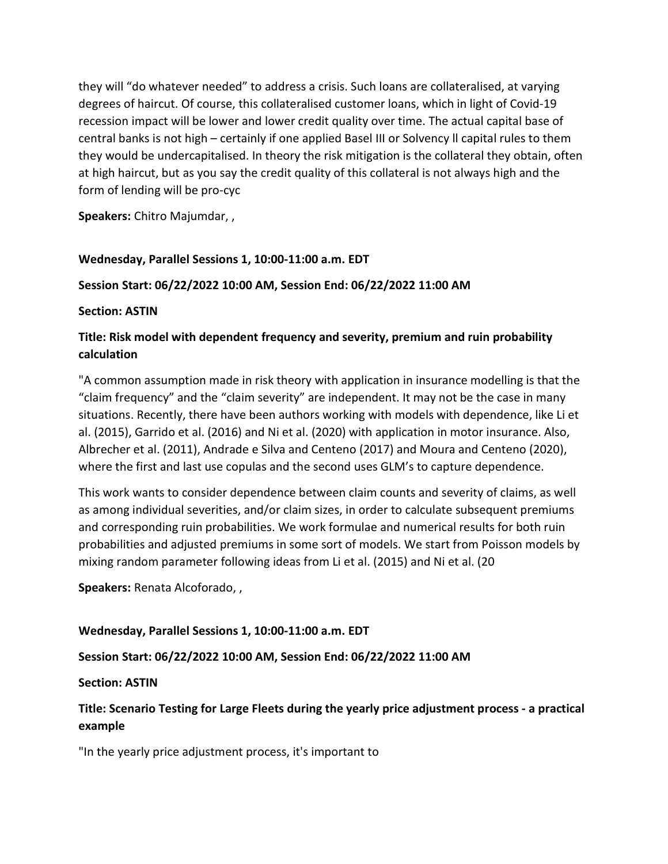they will "do whatever needed" to address a crisis. Such loans are collateralised, at varying degrees of haircut. Of course, this collateralised customer loans, which in light of Covid-19 recession impact will be lower and lower credit quality over time. The actual capital base of central banks is not high – certainly if one applied Basel III or Solvency ll capital rules to them they would be undercapitalised. In theory the risk mitigation is the collateral they obtain, often at high haircut, but as you say the credit quality of this collateral is not always high and the form of lending will be pro-cyc

Speakers: Chitro Majumdar, ,

# Wednesday, Parallel Sessions 1, 10:00-11:00 a.m. EDT

# Session Start: 06/22/2022 10:00 AM, Session End: 06/22/2022 11:00 AM

## Section: ASTIN

# Title: Risk model with dependent frequency and severity, premium and ruin probability calculation

"A common assumption made in risk theory with application in insurance modelling is that the "claim frequency" and the "claim severity" are independent. It may not be the case in many situations. Recently, there have been authors working with models with dependence, like Li et al. (2015), Garrido et al. (2016) and Ni et al. (2020) with application in motor insurance. Also, Albrecher et al. (2011), Andrade e Silva and Centeno (2017) and Moura and Centeno (2020), where the first and last use copulas and the second uses GLM's to capture dependence.

This work wants to consider dependence between claim counts and severity of claims, as well as among individual severities, and/or claim sizes, in order to calculate subsequent premiums and corresponding ruin probabilities. We work formulae and numerical results for both ruin probabilities and adjusted premiums in some sort of models. We start from Poisson models by mixing random parameter following ideas from Li et al. (2015) and Ni et al. (20

Speakers: Renata Alcoforado, ,

Wednesday, Parallel Sessions 1, 10:00-11:00 a.m. EDT

Session Start: 06/22/2022 10:00 AM, Session End: 06/22/2022 11:00 AM

# Section: ASTIN

# Title: Scenario Testing for Large Fleets during the yearly price adjustment process - a practical example

"In the yearly price adjustment process, it's important to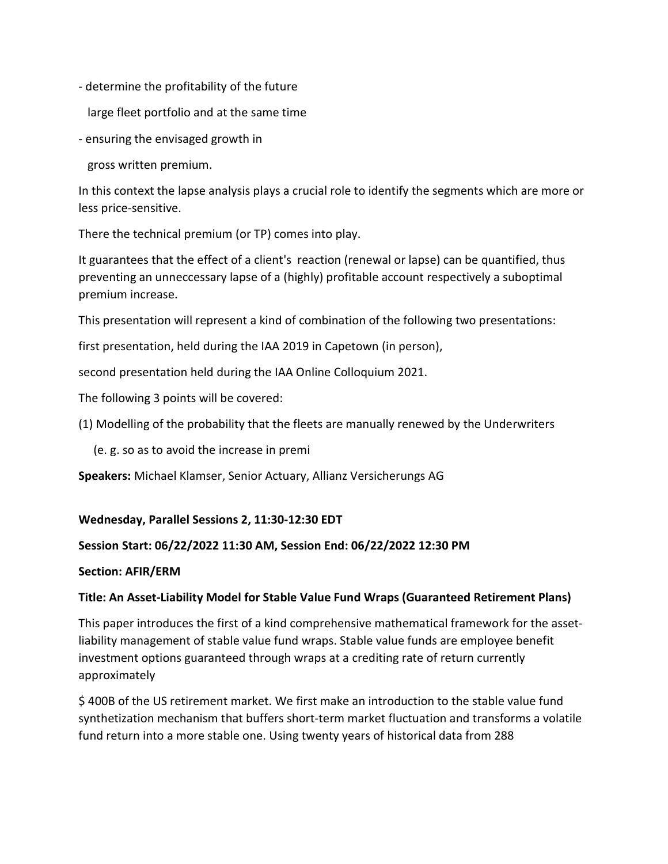- determine the profitability of the future
	- large fleet portfolio and at the same time
- ensuring the envisaged growth in

gross written premium.

In this context the lapse analysis plays a crucial role to identify the segments which are more or less price-sensitive.

There the technical premium (or TP) comes into play.

It guarantees that the effect of a client's reaction (renewal or lapse) can be quantified, thus preventing an unneccessary lapse of a (highly) profitable account respectively a suboptimal premium increase.

This presentation will represent a kind of combination of the following two presentations:

first presentation, held during the IAA 2019 in Capetown (in person),

second presentation held during the IAA Online Colloquium 2021.

The following 3 points will be covered:

(1) Modelling of the probability that the fleets are manually renewed by the Underwriters

(e. g. so as to avoid the increase in premi

Speakers: Michael Klamser, Senior Actuary, Allianz Versicherungs AG

## Wednesday, Parallel Sessions 2, 11:30-12:30 EDT

## Session Start: 06/22/2022 11:30 AM, Session End: 06/22/2022 12:30 PM

## Section: AFIR/ERM

## Title: An Asset-Liability Model for Stable Value Fund Wraps (Guaranteed Retirement Plans)

This paper introduces the first of a kind comprehensive mathematical framework for the assetliability management of stable value fund wraps. Stable value funds are employee benefit investment options guaranteed through wraps at a crediting rate of return currently approximately

\$ 400B of the US retirement market. We first make an introduction to the stable value fund synthetization mechanism that buffers short-term market fluctuation and transforms a volatile fund return into a more stable one. Using twenty years of historical data from 288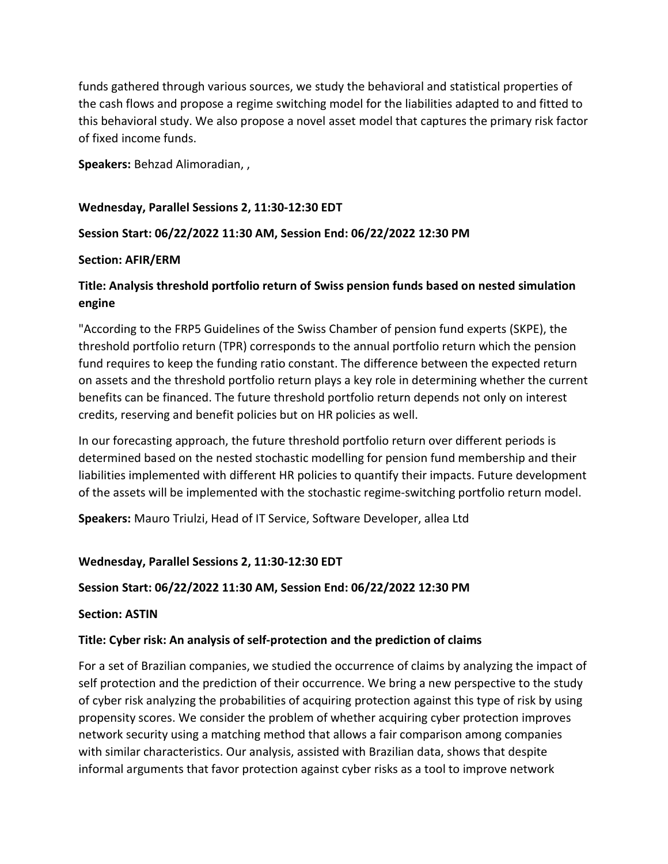funds gathered through various sources, we study the behavioral and statistical properties of the cash flows and propose a regime switching model for the liabilities adapted to and fitted to this behavioral study. We also propose a novel asset model that captures the primary risk factor of fixed income funds.

Speakers: Behzad Alimoradian, ,

Wednesday, Parallel Sessions 2, 11:30-12:30 EDT

# Session Start: 06/22/2022 11:30 AM, Session End: 06/22/2022 12:30 PM

## Section: AFIR/ERM

# Title: Analysis threshold portfolio return of Swiss pension funds based on nested simulation engine

"According to the FRP5 Guidelines of the Swiss Chamber of pension fund experts (SKPE), the threshold portfolio return (TPR) corresponds to the annual portfolio return which the pension fund requires to keep the funding ratio constant. The difference between the expected return on assets and the threshold portfolio return plays a key role in determining whether the current benefits can be financed. The future threshold portfolio return depends not only on interest credits, reserving and benefit policies but on HR policies as well.

In our forecasting approach, the future threshold portfolio return over different periods is determined based on the nested stochastic modelling for pension fund membership and their liabilities implemented with different HR policies to quantify their impacts. Future development of the assets will be implemented with the stochastic regime-switching portfolio return model.

Speakers: Mauro Triulzi, Head of IT Service, Software Developer, allea Ltd

## Wednesday, Parallel Sessions 2, 11:30-12:30 EDT

# Session Start: 06/22/2022 11:30 AM, Session End: 06/22/2022 12:30 PM

Section: ASTIN

# Title: Cyber risk: An analysis of self-protection and the prediction of claims

For a set of Brazilian companies, we studied the occurrence of claims by analyzing the impact of self protection and the prediction of their occurrence. We bring a new perspective to the study of cyber risk analyzing the probabilities of acquiring protection against this type of risk by using propensity scores. We consider the problem of whether acquiring cyber protection improves network security using a matching method that allows a fair comparison among companies with similar characteristics. Our analysis, assisted with Brazilian data, shows that despite informal arguments that favor protection against cyber risks as a tool to improve network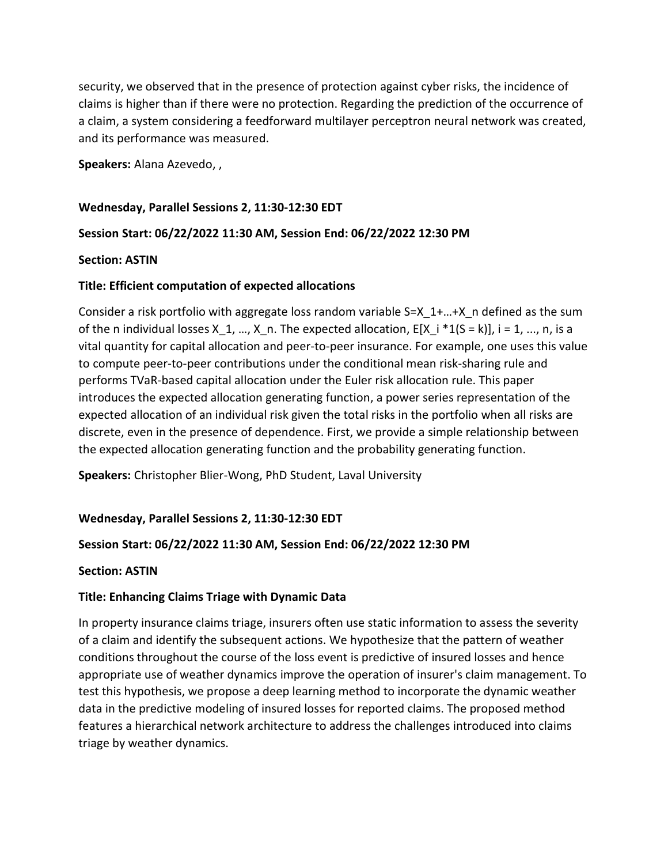security, we observed that in the presence of protection against cyber risks, the incidence of claims is higher than if there were no protection. Regarding the prediction of the occurrence of a claim, a system considering a feedforward multilayer perceptron neural network was created, and its performance was measured.

Speakers: Alana Azevedo, ,

Wednesday, Parallel Sessions 2, 11:30-12:30 EDT

## Session Start: 06/22/2022 11:30 AM, Session End: 06/22/2022 12:30 PM

#### Section: ASTIN

## Title: Efficient computation of expected allocations

Consider a risk portfolio with aggregate loss random variable S=X 1+...+X n defined as the sum of the n individual losses X 1, …, X n. The expected allocation,  $E[X_i + 1(S = k)]$ , i = 1, …, n, is a vital quantity for capital allocation and peer-to-peer insurance. For example, one uses this value to compute peer-to-peer contributions under the conditional mean risk-sharing rule and performs TVaR-based capital allocation under the Euler risk allocation rule. This paper introduces the expected allocation generating function, a power series representation of the expected allocation of an individual risk given the total risks in the portfolio when all risks are discrete, even in the presence of dependence. First, we provide a simple relationship between the expected allocation generating function and the probability generating function.

Speakers: Christopher Blier-Wong, PhD Student, Laval University

## Wednesday, Parallel Sessions 2, 11:30-12:30 EDT

## Session Start: 06/22/2022 11:30 AM, Session End: 06/22/2022 12:30 PM

#### Section: ASTIN

## Title: Enhancing Claims Triage with Dynamic Data

In property insurance claims triage, insurers often use static information to assess the severity of a claim and identify the subsequent actions. We hypothesize that the pattern of weather conditions throughout the course of the loss event is predictive of insured losses and hence appropriate use of weather dynamics improve the operation of insurer's claim management. To test this hypothesis, we propose a deep learning method to incorporate the dynamic weather data in the predictive modeling of insured losses for reported claims. The proposed method features a hierarchical network architecture to address the challenges introduced into claims triage by weather dynamics.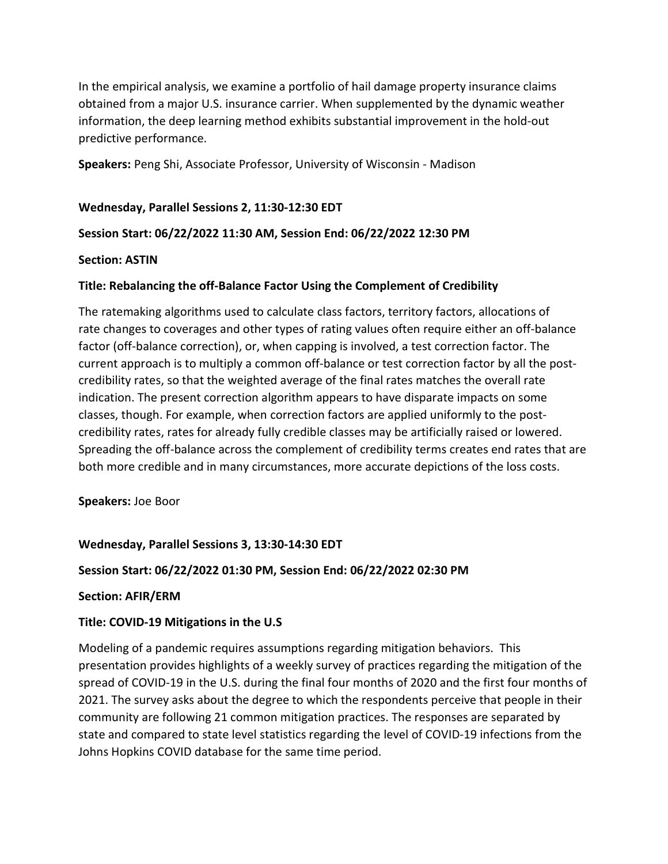In the empirical analysis, we examine a portfolio of hail damage property insurance claims obtained from a major U.S. insurance carrier. When supplemented by the dynamic weather information, the deep learning method exhibits substantial improvement in the hold-out predictive performance.

Speakers: Peng Shi, Associate Professor, University of Wisconsin - Madison

## Wednesday, Parallel Sessions 2, 11:30-12:30 EDT

## Session Start: 06/22/2022 11:30 AM, Session End: 06/22/2022 12:30 PM

## Section: ASTIN

## Title: Rebalancing the off-Balance Factor Using the Complement of Credibility

The ratemaking algorithms used to calculate class factors, territory factors, allocations of rate changes to coverages and other types of rating values often require either an off-balance factor (off-balance correction), or, when capping is involved, a test correction factor. The current approach is to multiply a common off-balance or test correction factor by all the postcredibility rates, so that the weighted average of the final rates matches the overall rate indication. The present correction algorithm appears to have disparate impacts on some classes, though. For example, when correction factors are applied uniformly to the postcredibility rates, rates for already fully credible classes may be artificially raised or lowered. Spreading the off-balance across the complement of credibility terms creates end rates that are both more credible and in many circumstances, more accurate depictions of the loss costs.

Speakers: Joe Boor

## Wednesday, Parallel Sessions 3, 13:30-14:30 EDT

## Session Start: 06/22/2022 01:30 PM, Session End: 06/22/2022 02:30 PM

## Section: AFIR/ERM

## Title: COVID-19 Mitigations in the U.S

Modeling of a pandemic requires assumptions regarding mitigation behaviors. This presentation provides highlights of a weekly survey of practices regarding the mitigation of the spread of COVID-19 in the U.S. during the final four months of 2020 and the first four months of 2021. The survey asks about the degree to which the respondents perceive that people in their community are following 21 common mitigation practices. The responses are separated by state and compared to state level statistics regarding the level of COVID-19 infections from the Johns Hopkins COVID database for the same time period.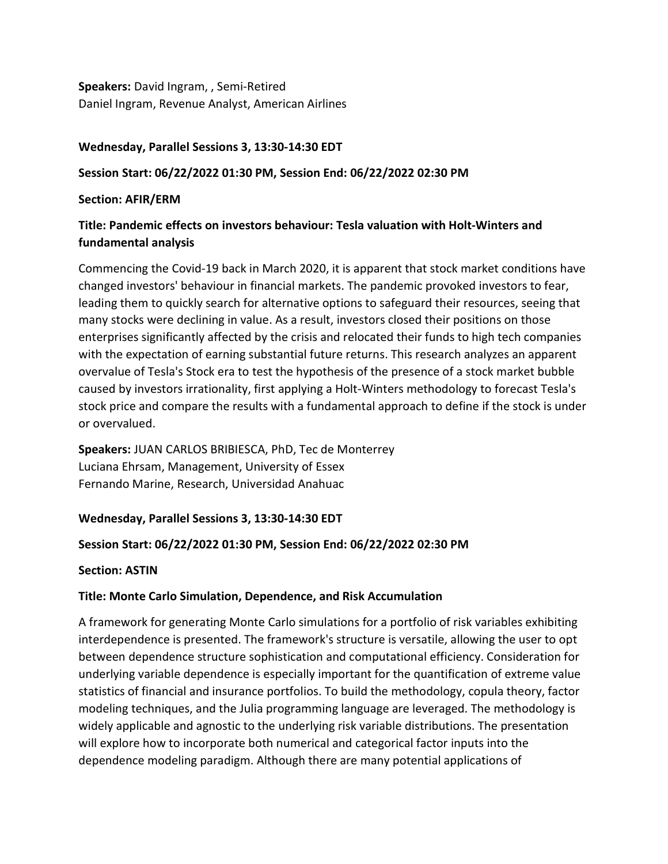Speakers: David Ingram, , Semi-Retired Daniel Ingram, Revenue Analyst, American Airlines

## Wednesday, Parallel Sessions 3, 13:30-14:30 EDT

## Session Start: 06/22/2022 01:30 PM, Session End: 06/22/2022 02:30 PM

Section: AFIR/ERM

# Title: Pandemic effects on investors behaviour: Tesla valuation with Holt-Winters and fundamental analysis

Commencing the Covid-19 back in March 2020, it is apparent that stock market conditions have changed investors' behaviour in financial markets. The pandemic provoked investors to fear, leading them to quickly search for alternative options to safeguard their resources, seeing that many stocks were declining in value. As a result, investors closed their positions on those enterprises significantly affected by the crisis and relocated their funds to high tech companies with the expectation of earning substantial future returns. This research analyzes an apparent overvalue of Tesla's Stock era to test the hypothesis of the presence of a stock market bubble caused by investors irrationality, first applying a Holt-Winters methodology to forecast Tesla's stock price and compare the results with a fundamental approach to define if the stock is under or overvalued.

Speakers: JUAN CARLOS BRIBIESCA, PhD, Tec de Monterrey Luciana Ehrsam, Management, University of Essex Fernando Marine, Research, Universidad Anahuac

# Wednesday, Parallel Sessions 3, 13:30-14:30 EDT

# Session Start: 06/22/2022 01:30 PM, Session End: 06/22/2022 02:30 PM

Section: ASTIN

# Title: Monte Carlo Simulation, Dependence, and Risk Accumulation

A framework for generating Monte Carlo simulations for a portfolio of risk variables exhibiting interdependence is presented. The framework's structure is versatile, allowing the user to opt between dependence structure sophistication and computational efficiency. Consideration for underlying variable dependence is especially important for the quantification of extreme value statistics of financial and insurance portfolios. To build the methodology, copula theory, factor modeling techniques, and the Julia programming language are leveraged. The methodology is widely applicable and agnostic to the underlying risk variable distributions. The presentation will explore how to incorporate both numerical and categorical factor inputs into the dependence modeling paradigm. Although there are many potential applications of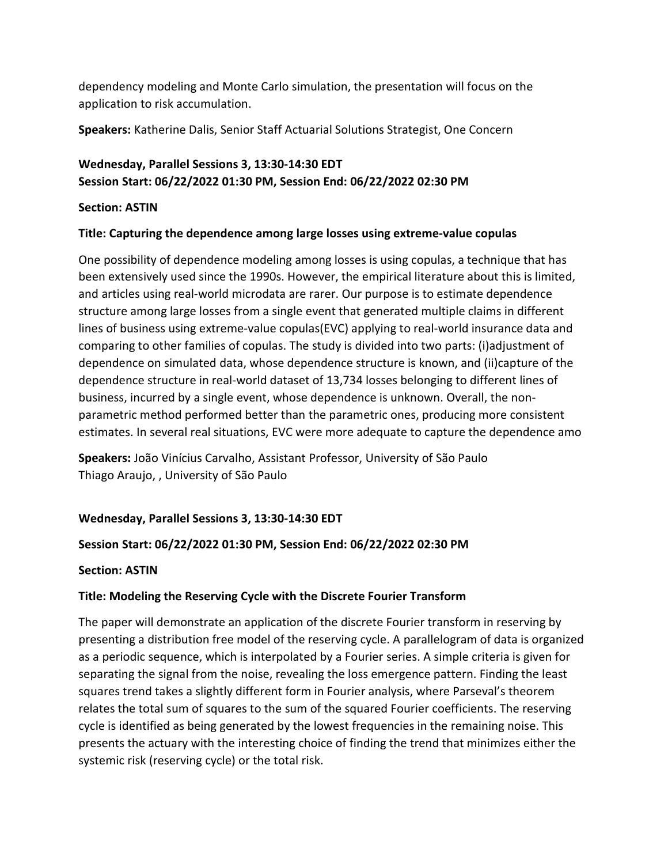dependency modeling and Monte Carlo simulation, the presentation will focus on the application to risk accumulation.

Speakers: Katherine Dalis, Senior Staff Actuarial Solutions Strategist, One Concern

# Wednesday, Parallel Sessions 3, 13:30-14:30 EDT Session Start: 06/22/2022 01:30 PM, Session End: 06/22/2022 02:30 PM

# Section: ASTIN

## Title: Capturing the dependence among large losses using extreme-value copulas

One possibility of dependence modeling among losses is using copulas, a technique that has been extensively used since the 1990s. However, the empirical literature about this is limited, and articles using real-world microdata are rarer. Our purpose is to estimate dependence structure among large losses from a single event that generated multiple claims in different lines of business using extreme-value copulas(EVC) applying to real-world insurance data and comparing to other families of copulas. The study is divided into two parts: (i)adjustment of dependence on simulated data, whose dependence structure is known, and (ii)capture of the dependence structure in real-world dataset of 13,734 losses belonging to different lines of business, incurred by a single event, whose dependence is unknown. Overall, the nonparametric method performed better than the parametric ones, producing more consistent estimates. In several real situations, EVC were more adequate to capture the dependence amo

Speakers: João Vinícius Carvalho, Assistant Professor, University of São Paulo Thiago Araujo, , University of São Paulo

# Wednesday, Parallel Sessions 3, 13:30-14:30 EDT

# Session Start: 06/22/2022 01:30 PM, Session End: 06/22/2022 02:30 PM

## Section: ASTIN

# Title: Modeling the Reserving Cycle with the Discrete Fourier Transform

The paper will demonstrate an application of the discrete Fourier transform in reserving by presenting a distribution free model of the reserving cycle. A parallelogram of data is organized as a periodic sequence, which is interpolated by a Fourier series. A simple criteria is given for separating the signal from the noise, revealing the loss emergence pattern. Finding the least squares trend takes a slightly different form in Fourier analysis, where Parseval's theorem relates the total sum of squares to the sum of the squared Fourier coefficients. The reserving cycle is identified as being generated by the lowest frequencies in the remaining noise. This presents the actuary with the interesting choice of finding the trend that minimizes either the systemic risk (reserving cycle) or the total risk.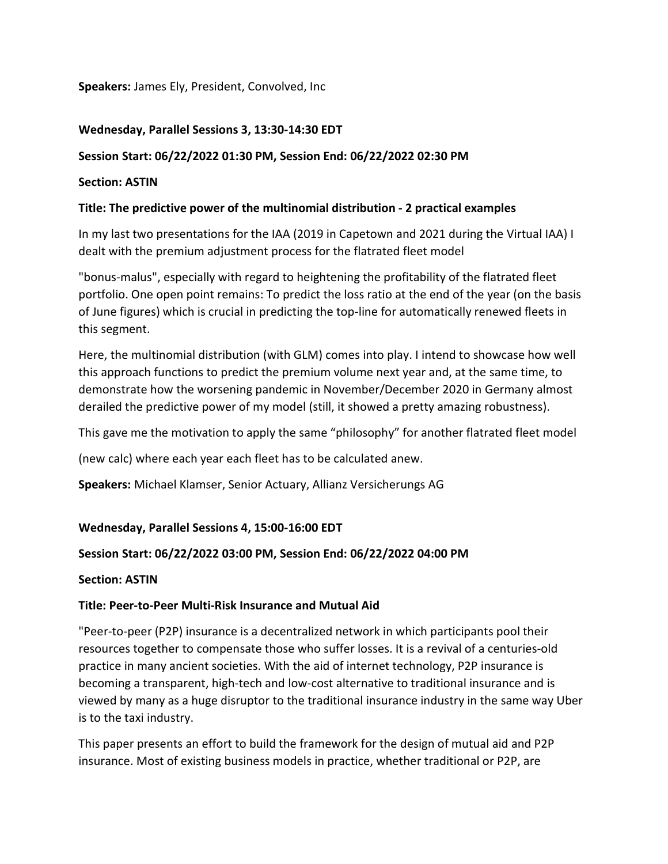Speakers: James Ely, President, Convolved, Inc

## Wednesday, Parallel Sessions 3, 13:30-14:30 EDT

## Session Start: 06/22/2022 01:30 PM, Session End: 06/22/2022 02:30 PM

## Section: ASTIN

## Title: The predictive power of the multinomial distribution - 2 practical examples

In my last two presentations for the IAA (2019 in Capetown and 2021 during the Virtual IAA) I dealt with the premium adjustment process for the flatrated fleet model

"bonus-malus", especially with regard to heightening the profitability of the flatrated fleet portfolio. One open point remains: To predict the loss ratio at the end of the year (on the basis of June figures) which is crucial in predicting the top-line for automatically renewed fleets in this segment.

Here, the multinomial distribution (with GLM) comes into play. I intend to showcase how well this approach functions to predict the premium volume next year and, at the same time, to demonstrate how the worsening pandemic in November/December 2020 in Germany almost derailed the predictive power of my model (still, it showed a pretty amazing robustness).

This gave me the motivation to apply the same "philosophy" for another flatrated fleet model

(new calc) where each year each fleet has to be calculated anew.

Speakers: Michael Klamser, Senior Actuary, Allianz Versicherungs AG

# Wednesday, Parallel Sessions 4, 15:00-16:00 EDT

## Session Start: 06/22/2022 03:00 PM, Session End: 06/22/2022 04:00 PM

## Section: ASTIN

## Title: Peer-to-Peer Multi-Risk Insurance and Mutual Aid

"Peer-to-peer (P2P) insurance is a decentralized network in which participants pool their resources together to compensate those who suffer losses. It is a revival of a centuries-old practice in many ancient societies. With the aid of internet technology, P2P insurance is becoming a transparent, high-tech and low-cost alternative to traditional insurance and is viewed by many as a huge disruptor to the traditional insurance industry in the same way Uber is to the taxi industry.

This paper presents an effort to build the framework for the design of mutual aid and P2P insurance. Most of existing business models in practice, whether traditional or P2P, are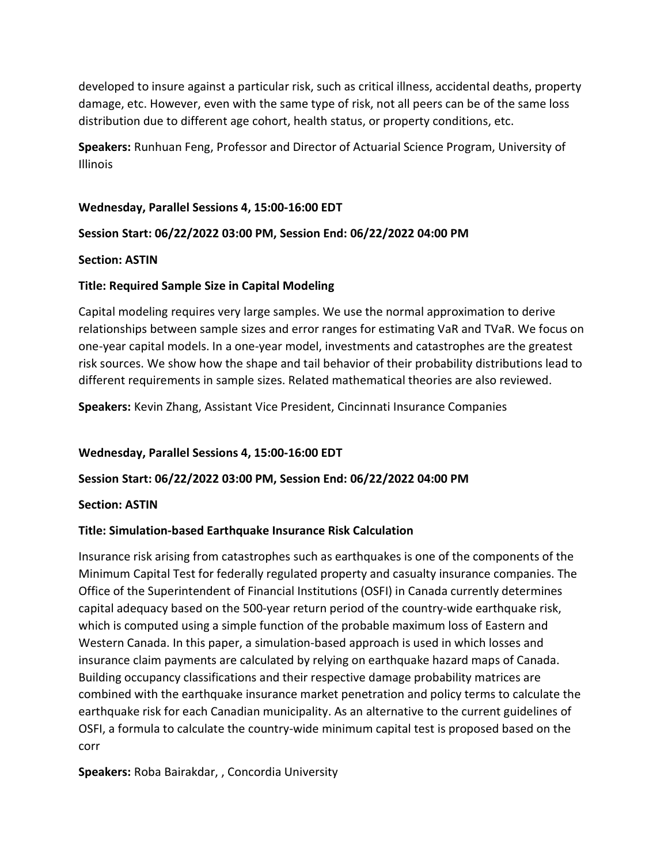developed to insure against a particular risk, such as critical illness, accidental deaths, property damage, etc. However, even with the same type of risk, not all peers can be of the same loss distribution due to different age cohort, health status, or property conditions, etc.

Speakers: Runhuan Feng, Professor and Director of Actuarial Science Program, University of Illinois

## Wednesday, Parallel Sessions 4, 15:00-16:00 EDT

## Session Start: 06/22/2022 03:00 PM, Session End: 06/22/2022 04:00 PM

## Section: ASTIN

## Title: Required Sample Size in Capital Modeling

Capital modeling requires very large samples. We use the normal approximation to derive relationships between sample sizes and error ranges for estimating VaR and TVaR. We focus on one-year capital models. In a one-year model, investments and catastrophes are the greatest risk sources. We show how the shape and tail behavior of their probability distributions lead to different requirements in sample sizes. Related mathematical theories are also reviewed.

Speakers: Kevin Zhang, Assistant Vice President, Cincinnati Insurance Companies

# Wednesday, Parallel Sessions 4, 15:00-16:00 EDT

## Session Start: 06/22/2022 03:00 PM, Session End: 06/22/2022 04:00 PM

## Section: ASTIN

# Title: Simulation-based Earthquake Insurance Risk Calculation

Insurance risk arising from catastrophes such as earthquakes is one of the components of the Minimum Capital Test for federally regulated property and casualty insurance companies. The Office of the Superintendent of Financial Institutions (OSFI) in Canada currently determines capital adequacy based on the 500-year return period of the country-wide earthquake risk, which is computed using a simple function of the probable maximum loss of Eastern and Western Canada. In this paper, a simulation-based approach is used in which losses and insurance claim payments are calculated by relying on earthquake hazard maps of Canada. Building occupancy classifications and their respective damage probability matrices are combined with the earthquake insurance market penetration and policy terms to calculate the earthquake risk for each Canadian municipality. As an alternative to the current guidelines of OSFI, a formula to calculate the country-wide minimum capital test is proposed based on the corr

Speakers: Roba Bairakdar, , Concordia University